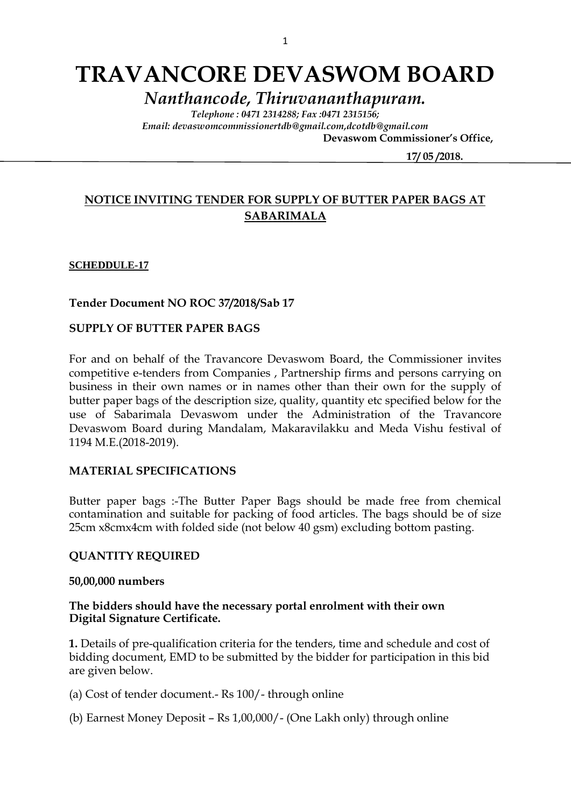# **TRAVANCORE DEVASWOM BOARD**

*Nanthancode, Thiruvananthapuram.*

*Telephone : 0471 2314288; Fax :0471 2315156; Email: devaswomcommissionertdb@gmail.com,dcotdb@gmail.com*

 **Devaswom Commissioner's Office,**

 **17/ 05 /2018.**

# **NOTICE INVITING TENDER FOR SUPPLY OF BUTTER PAPER BAGS AT SABARIMALA**

#### **SCHEDDULE-17**

**Tender Document NO ROC 37/2018/Sab 17**

# **SUPPLY OF BUTTER PAPER BAGS**

For and on behalf of the Travancore Devaswom Board, the Commissioner invites competitive e-tenders from Companies , Partnership firms and persons carrying on business in their own names or in names other than their own for the supply of butter paper bags of the description size, quality, quantity etc specified below for the use of Sabarimala Devaswom under the Administration of the Travancore Devaswom Board during Mandalam, Makaravilakku and Meda Vishu festival of 1194 M.E.(2018-2019).

#### **MATERIAL SPECIFICATIONS**

Butter paper bags :-The Butter Paper Bags should be made free from chemical contamination and suitable for packing of food articles. The bags should be of size 25cm x8cmx4cm with folded side (not below 40 gsm) excluding bottom pasting.

#### **QUANTITY REQUIRED**

#### **50,00,000 numbers**

## **The bidders should have the necessary portal enrolment with their own Digital Signature Certificate.**

**1.** Details of pre-qualification criteria for the tenders, time and schedule and cost of bidding document, EMD to be submitted by the bidder for participation in this bid are given below.

(a) Cost of tender document.- Rs 100/- through online

(b) Earnest Money Deposit – Rs 1,00,000/- (One Lakh only) through online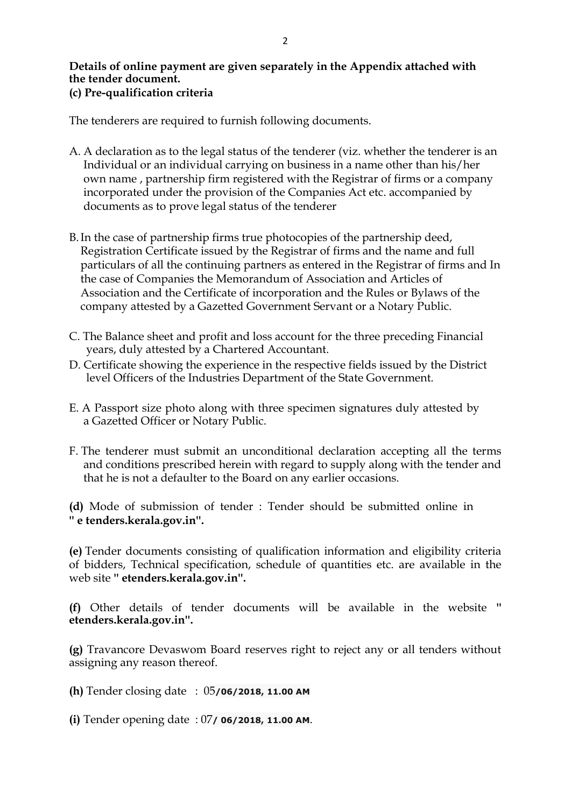### **Details of online payment are given separately in the Appendix attached with the tender document. (c) Pre-qualification criteria**

The tenderers are required to furnish following documents.

- A. A declaration as to the legal status of the tenderer (viz. whether the tenderer is an Individual or an individual carrying on business in a name other than his/her own name , partnership firm registered with the Registrar of firms or a company incorporated under the provision of the Companies Act etc. accompanied by documents as to prove legal status of the tenderer
- B.In the case of partnership firms true photocopies of the partnership deed, Registration Certificate issued by the Registrar of firms and the name and full particulars of all the continuing partners as entered in the Registrar of firms and In the case of Companies the Memorandum of Association and Articles of Association and the Certificate of incorporation and the Rules or Bylaws of the company attested by a Gazetted Government Servant or a Notary Public.
- C. The Balance sheet and profit and loss account for the three preceding Financial years, duly attested by a Chartered Accountant.
- D. Certificate showing the experience in the respective fields issued by the District level Officers of the Industries Department of the State Government.
- E. A Passport size photo along with three specimen signatures duly attested by a Gazetted Officer or Notary Public.
- F. The tenderer must submit an unconditional declaration accepting all the terms and conditions prescribed herein with regard to supply along with the tender and that he is not a defaulter to the Board on any earlier occasions.

**(d)** Mode of submission of tender : Tender should be submitted online in **'' e tenders.kerala.gov.in''.**

**(e)** Tender documents consisting of qualification information and eligibility criteria of bidders, Technical specification, schedule of quantities etc. are available in the web site **'' etenders.kerala.gov.in''.**

**(f)** Other details of tender documents will be available in the website **'' etenders.kerala.gov.in''.** 

**(g)** Travancore Devaswom Board reserves right to reject any or all tenders without assigning any reason thereof.

- **(h)** Tender closing date : 05**/06/2018, 11.00 AM**
- **(i)** Tender opening date : 07**/ 06/2018, 11.00 AM**.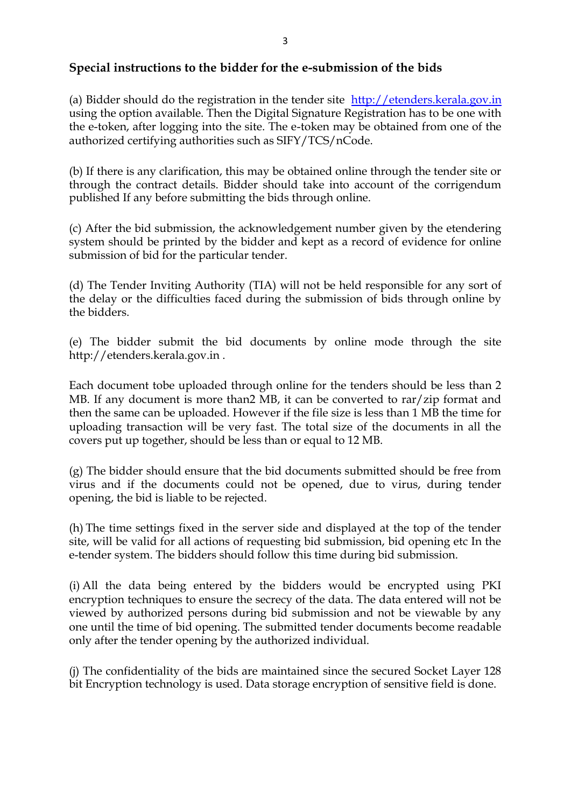# **Special instructions to the bidder for the e-submission of the bids**

(a) Bidder should do the registration in the tender site [http://etenders.kerala.gov.in](http://etenders.kerala.gov.in/) using the option available. Then the Digital Signature Registration has to be one with the e-token, after logging into the site. The e-token may be obtained from one of the authorized certifying authorities such as SIFY/TCS/nCode.

(b) If there is any clarification, this may be obtained online through the tender site or through the contract details. Bidder should take into account of the corrigendum published If any before submitting the bids through online.

(c) After the bid submission, the acknowledgement number given by the etendering system should be printed by the bidder and kept as a record of evidence for online submission of bid for the particular tender.

(d) The Tender Inviting Authority (TIA) will not be held responsible for any sort of the delay or the difficulties faced during the submission of bids through online by the bidders.

(e) The bidder submit the bid documents by online mode through the site http://etenders.kerala.gov.in .

Each document tobe uploaded through online for the tenders should be less than 2 MB. If any document is more than2 MB, it can be converted to rar/zip format and then the same can be uploaded. However if the file size is less than 1 MB the time for uploading transaction will be very fast. The total size of the documents in all the covers put up together, should be less than or equal to 12 MB.

(g) The bidder should ensure that the bid documents submitted should be free from virus and if the documents could not be opened, due to virus, during tender opening, the bid is liable to be rejected.

(h) The time settings fixed in the server side and displayed at the top of the tender site, will be valid for all actions of requesting bid submission, bid opening etc In the e-tender system. The bidders should follow this time during bid submission.

(i) All the data being entered by the bidders would be encrypted using PKI encryption techniques to ensure the secrecy of the data. The data entered will not be viewed by authorized persons during bid submission and not be viewable by any one until the time of bid opening. The submitted tender documents become readable only after the tender opening by the authorized individual.

(j) The confidentiality of the bids are maintained since the secured Socket Layer 128 bit Encryption technology is used. Data storage encryption of sensitive field is done.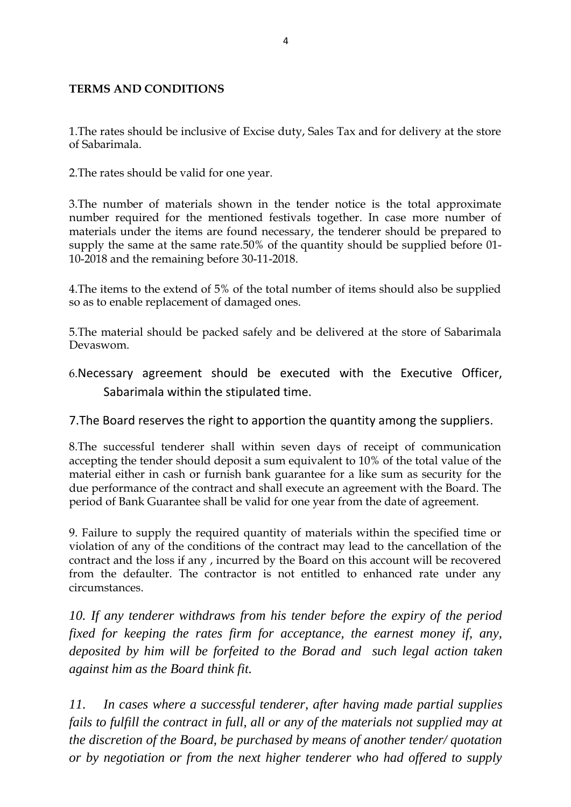# **TERMS AND CONDITIONS**

1.The rates should be inclusive of Excise duty, Sales Tax and for delivery at the store of Sabarimala.

2.The rates should be valid for one year.

3.The number of materials shown in the tender notice is the total approximate number required for the mentioned festivals together. In case more number of materials under the items are found necessary, the tenderer should be prepared to supply the same at the same rate.50% of the quantity should be supplied before 01- 10-2018 and the remaining before 30-11-2018.

4.The items to the extend of 5% of the total number of items should also be supplied so as to enable replacement of damaged ones.

5.The material should be packed safely and be delivered at the store of Sabarimala Devaswom.

6.Necessary agreement should be executed with the Executive Officer, Sabarimala within the stipulated time.

7.The Board reserves the right to apportion the quantity among the suppliers.

8.The successful tenderer shall within seven days of receipt of communication accepting the tender should deposit a sum equivalent to 10% of the total value of the material either in cash or furnish bank guarantee for a like sum as security for the due performance of the contract and shall execute an agreement with the Board. The period of Bank Guarantee shall be valid for one year from the date of agreement.

9. Failure to supply the required quantity of materials within the specified time or violation of any of the conditions of the contract may lead to the cancellation of the contract and the loss if any , incurred by the Board on this account will be recovered from the defaulter. The contractor is not entitled to enhanced rate under any circumstances.

*10. If any tenderer withdraws from his tender before the expiry of the period fixed for keeping the rates firm for acceptance, the earnest money if, any, deposited by him will be forfeited to the Borad and such legal action taken against him as the Board think fit.*

*11. In cases where a successful tenderer, after having made partial supplies fails to fulfill the contract in full, all or any of the materials not supplied may at the discretion of the Board, be purchased by means of another tender/ quotation or by negotiation or from the next higher tenderer who had offered to supply*